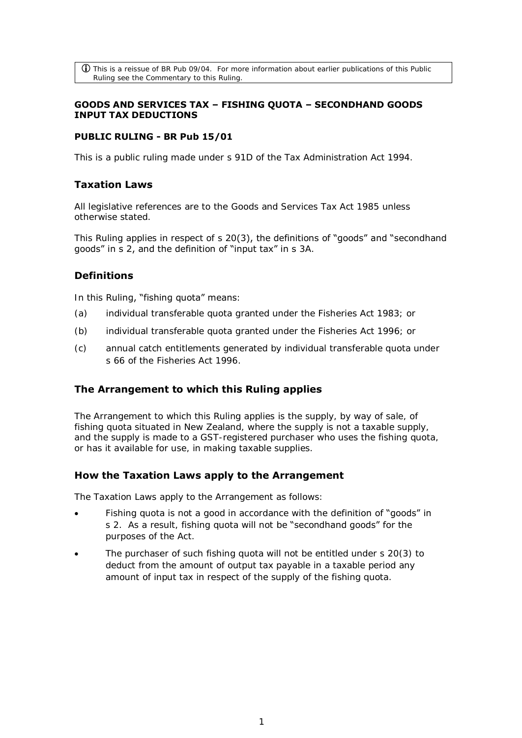$\overline{10}$  This is a reissue of BR Pub 09/04. For more information about earlier publications of this Public Ruling see the Commentary to this Ruling.

### **GOODS AND SERVICES TAX – FISHING QUOTA – SECONDHAND GOODS INPUT TAX DEDUCTIONS**

### **PUBLIC RULING - BR Pub 15/01**

This is a public ruling made under s 91D of the Tax Administration Act 1994.

### **Taxation Laws**

All legislative references are to the Goods and Services Tax Act 1985 unless otherwise stated.

This Ruling applies in respect of s 20(3), the definitions of "goods" and "secondhand goods" in s 2, and the definition of "input tax" in s 3A.

# **Definitions**

In this Ruling, "fishing quota" means:

- (a) individual transferable quota granted under the Fisheries Act 1983; or
- (b) individual transferable quota granted under the Fisheries Act 1996; or
- (c) annual catch entitlements generated by individual transferable quota under s 66 of the Fisheries Act 1996.

### **The Arrangement to which this Ruling applies**

The Arrangement to which this Ruling applies is the supply, by way of sale, of fishing quota situated in New Zealand, where the supply is not a taxable supply, and the supply is made to a GST-registered purchaser who uses the fishing quota, or has it available for use, in making taxable supplies.

### **How the Taxation Laws apply to the Arrangement**

The Taxation Laws apply to the Arrangement as follows:

- Fishing quota is not a good in accordance with the definition of "goods" in s 2. As a result, fishing quota will not be "secondhand goods" for the purposes of the Act.
- The purchaser of such fishing quota will not be entitled under s 20(3) to deduct from the amount of output tax payable in a taxable period any amount of input tax in respect of the supply of the fishing quota.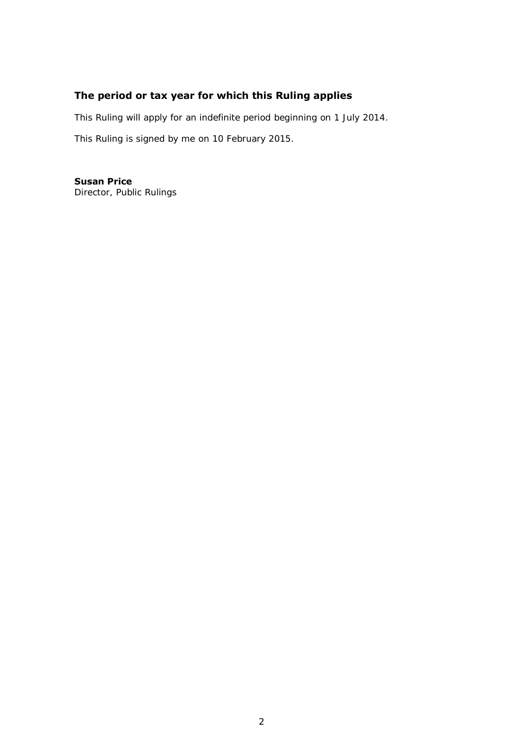# **The period or tax year for which this Ruling applies**

This Ruling will apply for an indefinite period beginning on 1 July 2014.

This Ruling is signed by me on 10 February 2015.

**Susan Price**  Director, Public Rulings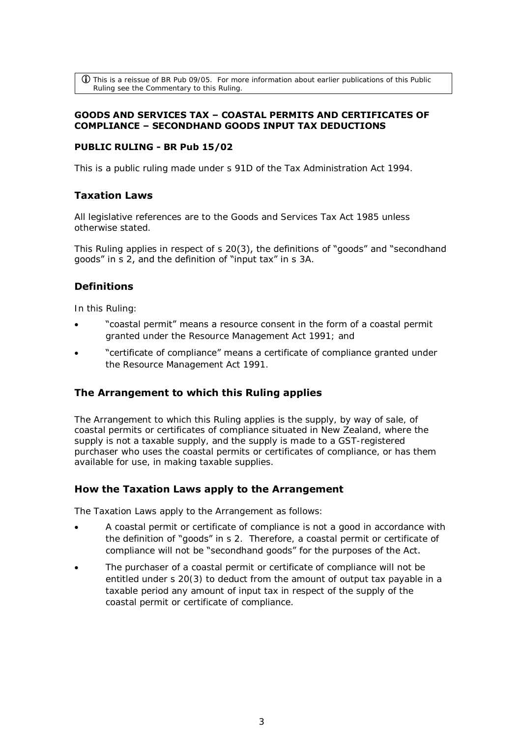$\bf{\hat{U}}$  This is a reissue of BR Pub 09/05. For more information about earlier publications of this Public Ruling see the Commentary to this Ruling.

### **GOODS AND SERVICES TAX – COASTAL PERMITS AND CERTIFICATES OF COMPLIANCE – SECONDHAND GOODS INPUT TAX DEDUCTIONS**

### **PUBLIC RULING - BR Pub 15/02**

This is a public ruling made under s 91D of the Tax Administration Act 1994.

### **Taxation Laws**

All legislative references are to the Goods and Services Tax Act 1985 unless otherwise stated.

This Ruling applies in respect of s 20(3), the definitions of "goods" and "secondhand goods" in s 2, and the definition of "input tax" in s 3A.

# **Definitions**

In this Ruling:

- "coastal permit" means a resource consent in the form of a coastal permit granted under the Resource Management Act 1991; and
- "certificate of compliance" means a certificate of compliance granted under the Resource Management Act 1991.

### **The Arrangement to which this Ruling applies**

The Arrangement to which this Ruling applies is the supply, by way of sale, of coastal permits or certificates of compliance situated in New Zealand, where the supply is not a taxable supply, and the supply is made to a GST-registered purchaser who uses the coastal permits or certificates of compliance, or has them available for use, in making taxable supplies.

### **How the Taxation Laws apply to the Arrangement**

The Taxation Laws apply to the Arrangement as follows:

- A coastal permit or certificate of compliance is not a good in accordance with the definition of "goods" in s 2. Therefore, a coastal permit or certificate of compliance will not be "secondhand goods" for the purposes of the Act.
- The purchaser of a coastal permit or certificate of compliance will not be entitled under s 20(3) to deduct from the amount of output tax payable in a taxable period any amount of input tax in respect of the supply of the coastal permit or certificate of compliance.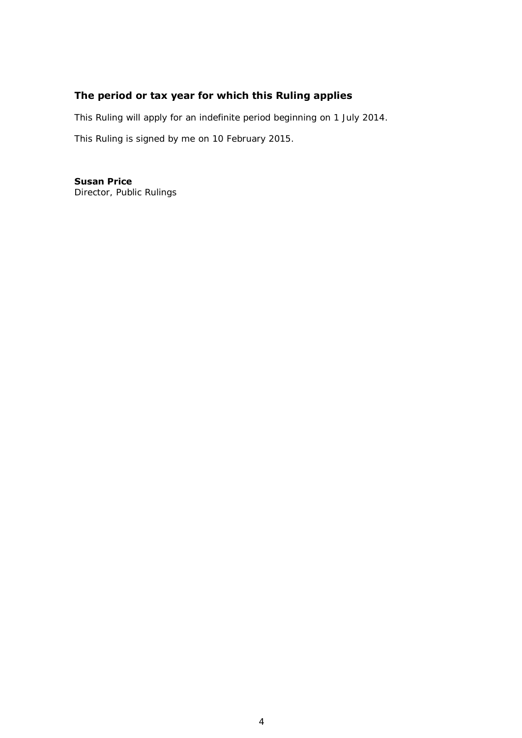# **The period or tax year for which this Ruling applies**

This Ruling will apply for an indefinite period beginning on 1 July 2014.

This Ruling is signed by me on 10 February 2015.

**Susan Price**  Director, Public Rulings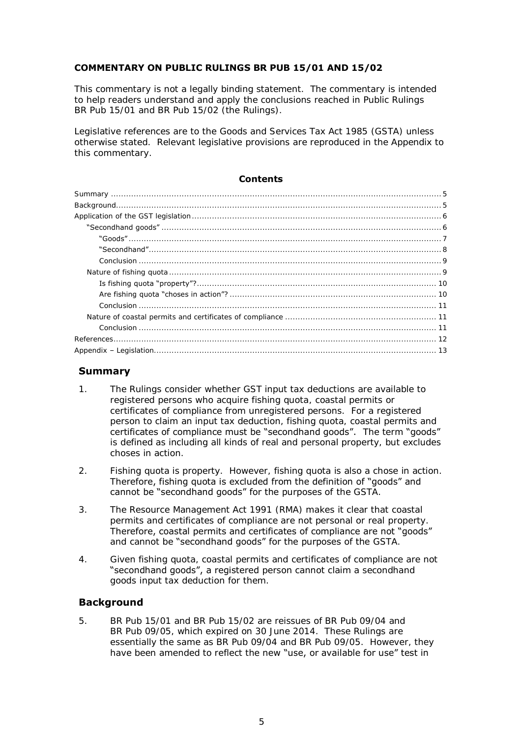### **COMMENTARY ON PUBLIC RULINGS BR PUB 15/01 AND 15/02**

This commentary is not a legally binding statement. The commentary is intended to help readers understand and apply the conclusions reached in Public Rulings BR Pub 15/01 and BR Pub 15/02 (the Rulings).

Legislative references are to the Goods and Services Tax Act 1985 (GSTA) unless otherwise stated. Relevant legislative provisions are reproduced in the Appendix to this commentary.

#### **Contents**

| ``Second hand''. |
|------------------|
|                  |
|                  |
|                  |
|                  |
|                  |
|                  |
|                  |
|                  |
|                  |

### <span id="page-4-0"></span>**Summary**

- 1. The Rulings consider whether GST input tax deductions are available to registered persons who acquire fishing quota, coastal permits or certificates of compliance from unregistered persons. For a registered person to claim an input tax deduction, fishing quota, coastal permits and certificates of compliance must be "secondhand goods". The term "goods" is defined as including all kinds of real and personal property, but excludes choses in action.
- 2. Fishing quota is property. However, fishing quota is also a chose in action. Therefore, fishing quota is excluded from the definition of "goods" and cannot be "secondhand goods" for the purposes of the GSTA.
- 3. The Resource Management Act 1991 (RMA) makes it clear that coastal permits and certificates of compliance are not personal or real property. Therefore, coastal permits and certificates of compliance are not "goods" and cannot be "secondhand goods" for the purposes of the GSTA.
- 4. Given fishing quota, coastal permits and certificates of compliance are not "secondhand goods", a registered person cannot claim a secondhand goods input tax deduction for them.

# <span id="page-4-1"></span>**Background**

5. BR Pub 15/01 and BR Pub 15/02 are reissues of BR Pub 09/04 and BR Pub 09/05, which expired on 30 June 2014. These Rulings are essentially the same as BR Pub 09/04 and BR Pub 09/05. However, they have been amended to reflect the new "use, or available for use" test in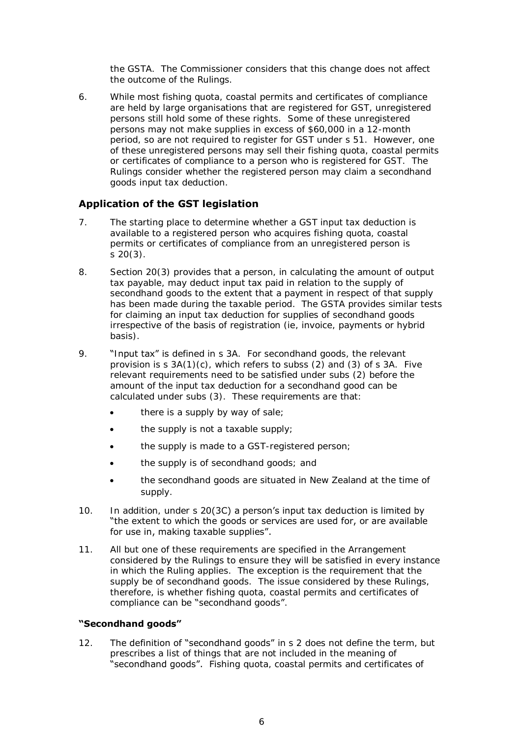the GSTA. The Commissioner considers that this change does not affect the outcome of the Rulings.

6. While most fishing quota, coastal permits and certificates of compliance are held by large organisations that are registered for GST, unregistered persons still hold some of these rights. Some of these unregistered persons may not make supplies in excess of \$60,000 in a 12-month period, so are not required to register for GST under s 51. However, one of these unregistered persons may sell their fishing quota, coastal permits or certificates of compliance to a person who is registered for GST. The Rulings consider whether the registered person may claim a secondhand goods input tax deduction.

# <span id="page-5-0"></span>**Application of the GST legislation**

- 7. The starting place to determine whether a GST input tax deduction is available to a registered person who acquires fishing quota, coastal permits or certificates of compliance from an unregistered person is s 20(3).
- 8. Section 20(3) provides that a person, in calculating the amount of output tax payable, may deduct input tax paid in relation to the supply of secondhand goods to the extent that a payment in respect of that supply has been made during the taxable period. The GSTA provides similar tests for claiming an input tax deduction for supplies of secondhand goods irrespective of the basis of registration (ie, invoice, payments or hybrid basis).
- 9. "Input tax" is defined in s 3A. For secondhand goods, the relevant provision is  $s$  3A(1)(c), which refers to subss (2) and (3) of s 3A. Five relevant requirements need to be satisfied under subs (2) before the amount of the input tax deduction for a secondhand good can be calculated under subs (3). These requirements are that:
	- there is a supply by way of sale;
	- the supply is not a taxable supply;
	- the supply is made to a GST-registered person;
	- the supply is of secondhand goods; and
	- the secondhand goods are situated in New Zealand at the time of supply.
- 10. In addition, under s 20(3C) a person's input tax deduction is limited by "the extent to which the goods or services are used for, or are available for use in, making taxable supplies".
- 11. All but one of these requirements are specified in the Arrangement considered by the Rulings to ensure they will be satisfied in every instance in which the Ruling applies. The exception is the requirement that the supply be of secondhand goods. The issue considered by these Rulings, therefore, is whether fishing quota, coastal permits and certificates of compliance can be "secondhand goods".

#### <span id="page-5-1"></span>**"Secondhand goods"**

12. The definition of "secondhand goods" in s 2 does not define the term, but prescribes a list of things that are not included in the meaning of "secondhand goods". Fishing quota, coastal permits and certificates of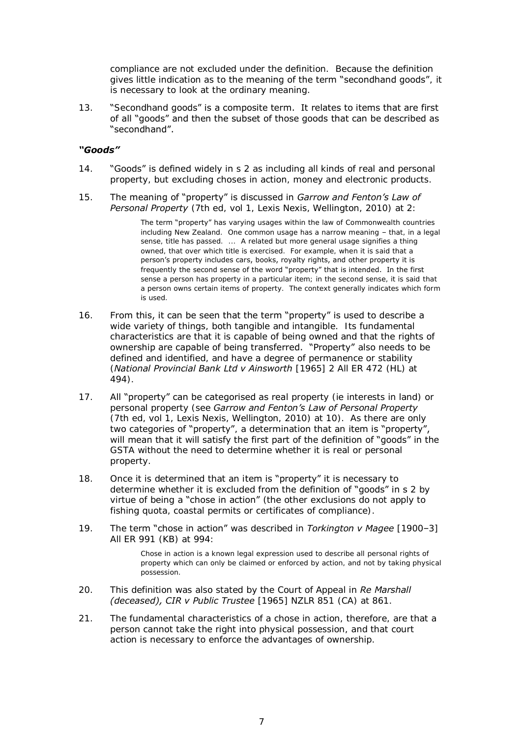compliance are not excluded under the definition. Because the definition gives little indication as to the meaning of the term "secondhand goods", it is necessary to look at the ordinary meaning.

13. "Secondhand goods" is a composite term. It relates to items that are first of all "goods" and then the subset of those goods that can be described as "secondhand".

### <span id="page-6-0"></span>*"Goods"*

- 14. "Goods" is defined widely in s 2 as including all kinds of real and personal property, but excluding choses in action, money and electronic products.
- 15. The meaning of "property" is discussed in *Garrow and Fenton's Law of Personal Property* (7th ed, vol 1, Lexis Nexis, Wellington, 2010) at 2:

The term "property" has varying usages within the law of Commonwealth countries including New Zealand. One common usage has a narrow meaning – that, in a legal sense, title has passed. ... A related but more general usage signifies a thing owned, that over which title is exercised. For example, when it is said that a person's property includes cars, books, royalty rights, and other property it is frequently the second sense of the word "property" that is intended. In the first sense a person has property in a particular item; in the second sense, it is said that a person owns certain items of property. The context generally indicates which form is used.

- 16. From this, it can be seen that the term "property" is used to describe a wide variety of things, both tangible and intangible. Its fundamental characteristics are that it is capable of being owned and that the rights of ownership are capable of being transferred. "Property" also needs to be defined and identified, and have a degree of permanence or stability (*National Provincial Bank Ltd v Ainsworth* [1965] 2 All ER 472 (HL) at 494).
- 17. All "property" can be categorised as real property (ie interests in land) or personal property (see *Garrow and Fenton's Law of Personal Property* (7th ed, vol 1, Lexis Nexis, Wellington, 2010) at 10). As there are only two categories of "property", a determination that an item is "property" will mean that it will satisfy the first part of the definition of "goods" in the GSTA without the need to determine whether it is real or personal property.
- 18. Once it is determined that an item is "property" it is necessary to determine whether it is excluded from the definition of "goods" in s 2 by virtue of being a "chose in action" (the other exclusions do not apply to fishing quota, coastal permits or certificates of compliance).
- 19. The term "chose in action" was described in *Torkington v Magee* [1900–3] All ER 991 (KB) at 994:

Chose in action is a known legal expression used to describe all personal rights of property which can only be claimed or enforced by action, and not by taking physical possession.

- 20. This definition was also stated by the Court of Appeal in *Re Marshall (deceased), CIR v Public Trustee* [1965] NZLR 851 (CA) at 861.
- 21. The fundamental characteristics of a chose in action, therefore, are that a person cannot take the right into physical possession, and that court action is necessary to enforce the advantages of ownership.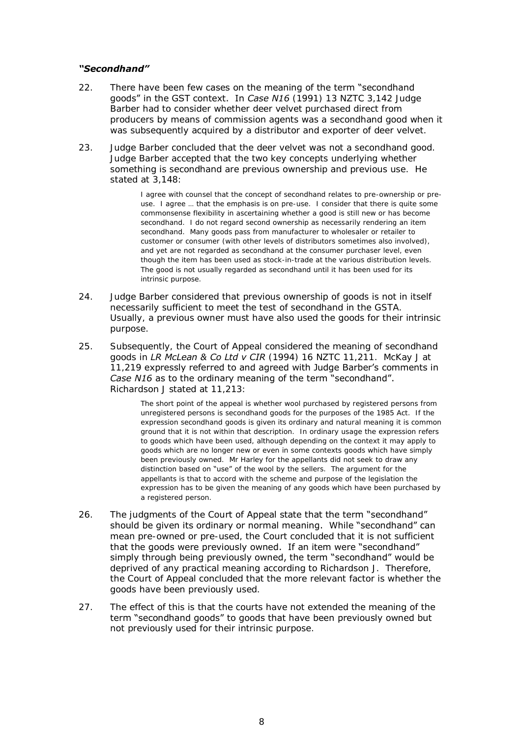### <span id="page-7-0"></span>*"Secondhand"*

- 22. There have been few cases on the meaning of the term "secondhand goods" in the GST context. In *Case N16* (1991) 13 NZTC 3,142 Judge Barber had to consider whether deer velvet purchased direct from producers by means of commission agents was a secondhand good when it was subsequently acquired by a distributor and exporter of deer velvet.
- 23. Judge Barber concluded that the deer velvet was not a secondhand good. Judge Barber accepted that the two key concepts underlying whether something is secondhand are previous ownership and previous use. He stated at 3,148:

I agree with counsel that the concept of secondhand relates to pre-ownership or preuse. I agree ... that the emphasis is on pre-use. I consider that there is quite some commonsense flexibility in ascertaining whether a good is still new or has become secondhand. I do not regard second ownership as necessarily rendering an item secondhand. Many goods pass from manufacturer to wholesaler or retailer to customer or consumer (with other levels of distributors sometimes also involved), and yet are not regarded as secondhand at the consumer purchaser level, even though the item has been used as stock-in-trade at the various distribution levels. The good is not usually regarded as secondhand until it has been used for its intrinsic purpose.

- 24. Judge Barber considered that previous ownership of goods is not in itself necessarily sufficient to meet the test of secondhand in the GSTA. Usually, a previous owner must have also used the goods for their intrinsic purpose.
- 25. Subsequently, the Court of Appeal considered the meaning of secondhand goods in *LR McLean & Co Ltd v CIR* (1994) 16 NZTC 11,211. McKay J at 11,219 expressly referred to and agreed with Judge Barber's comments in *Case N16* as to the ordinary meaning of the term "secondhand". Richardson J stated at 11,213:

The short point of the appeal is whether wool purchased by registered persons from unregistered persons is secondhand goods for the purposes of the 1985 Act. If the expression secondhand goods is given its ordinary and natural meaning it is common ground that it is not within that description. In ordinary usage the expression refers to goods which have been used, although depending on the context it may apply to goods which are no longer new or even in some contexts goods which have simply been previously owned. Mr Harley for the appellants did not seek to draw any distinction based on "use" of the wool by the sellers. The argument for the appellants is that to accord with the scheme and purpose of the legislation the expression has to be given the meaning of any goods which have been purchased by a registered person.

- 26. The judgments of the Court of Appeal state that the term "secondhand" should be given its ordinary or normal meaning. While "secondhand" can mean pre-owned or pre-used, the Court concluded that it is not sufficient that the goods were previously owned. If an item were "secondhand" simply through being previously owned, the term "secondhand" would be deprived of any practical meaning according to Richardson J. Therefore, the Court of Appeal concluded that the more relevant factor is whether the goods have been previously used.
- 27. The effect of this is that the courts have not extended the meaning of the term "secondhand goods" to goods that have been previously owned but not previously used for their intrinsic purpose.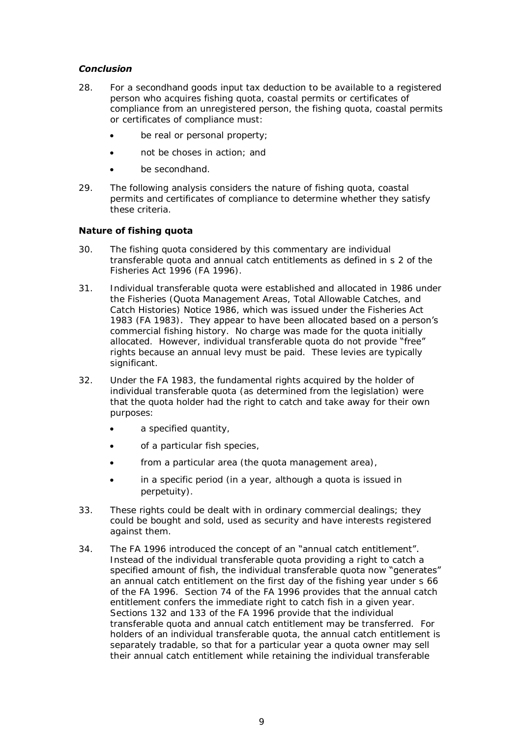# <span id="page-8-0"></span>*Conclusion*

- 28. For a secondhand goods input tax deduction to be available to a registered person who acquires fishing quota, coastal permits or certificates of compliance from an unregistered person, the fishing quota, coastal permits or certificates of compliance must:
	- be real or personal property;
	- not be choses in action; and
	- be secondhand.
- 29. The following analysis considers the nature of fishing quota, coastal permits and certificates of compliance to determine whether they satisfy these criteria.

### <span id="page-8-1"></span>**Nature of fishing quota**

- 30. The fishing quota considered by this commentary are individual transferable quota and annual catch entitlements as defined in s 2 of the Fisheries Act 1996 (FA 1996).
- 31. Individual transferable quota were established and allocated in 1986 under the Fisheries (Quota Management Areas, Total Allowable Catches, and Catch Histories) Notice 1986, which was issued under the Fisheries Act 1983 (FA 1983). They appear to have been allocated based on a person's commercial fishing history. No charge was made for the quota initially allocated. However, individual transferable quota do not provide "free" rights because an annual levy must be paid. These levies are typically significant.
- 32. Under the FA 1983, the fundamental rights acquired by the holder of individual transferable quota (as determined from the legislation) were that the quota holder had the right to catch and take away for their own purposes:
	- a specified quantity,
	- of a particular fish species,
	- from a particular area (the quota management area),
	- in a specific period (in a year, although a quota is issued in perpetuity).
- 33. These rights could be dealt with in ordinary commercial dealings; they could be bought and sold, used as security and have interests registered against them.
- 34. The FA 1996 introduced the concept of an "annual catch entitlement". Instead of the individual transferable quota providing a right to catch a specified amount of fish, the individual transferable quota now "generates" an annual catch entitlement on the first day of the fishing year under s 66 of the FA 1996. Section 74 of the FA 1996 provides that the annual catch entitlement confers the immediate right to catch fish in a given year. Sections 132 and 133 of the FA 1996 provide that the individual transferable quota and annual catch entitlement may be transferred. For holders of an individual transferable quota, the annual catch entitlement is separately tradable, so that for a particular year a quota owner may sell their annual catch entitlement while retaining the individual transferable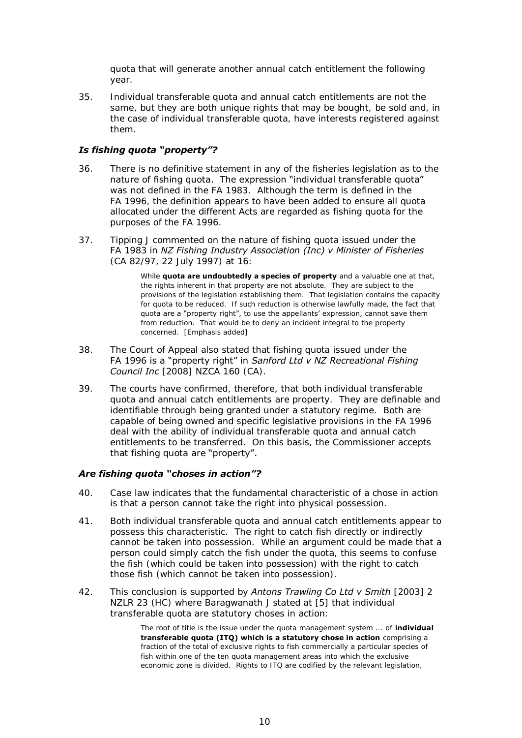quota that will generate another annual catch entitlement the following year.

35. Individual transferable quota and annual catch entitlements are not the same, but they are both unique rights that may be bought, be sold and, in the case of individual transferable quota, have interests registered against them.

# <span id="page-9-0"></span>*Is fishing quota "property"?*

- 36. There is no definitive statement in any of the fisheries legislation as to the nature of fishing quota. The expression "individual transferable quota" was not defined in the FA 1983. Although the term is defined in the FA 1996, the definition appears to have been added to ensure all quota allocated under the different Acts are regarded as fishing quota for the purposes of the FA 1996.
- 37. Tipping J commented on the nature of fishing quota issued under the FA 1983 in *NZ Fishing Industry Association (Inc) v Minister of Fisheries* (CA 82/97, 22 July 1997) at 16:

While **quota are undoubtedly a species of property** and a valuable one at that, the rights inherent in that property are not absolute. They are subject to the provisions of the legislation establishing them. That legislation contains the capacity for quota to be reduced. If such reduction is otherwise lawfully made, the fact that quota are a "property right", to use the appellants' expression, cannot save them from reduction. That would be to deny an incident integral to the property concerned. [Emphasis added]

- 38. The Court of Appeal also stated that fishing quota issued under the FA 1996 is a "property right" in *Sanford Ltd v NZ Recreational Fishing Council Inc* [2008] NZCA 160 (CA).
- 39. The courts have confirmed, therefore, that both individual transferable quota and annual catch entitlements are property. They are definable and identifiable through being granted under a statutory regime. Both are capable of being owned and specific legislative provisions in the FA 1996 deal with the ability of individual transferable quota and annual catch entitlements to be transferred. On this basis, the Commissioner accepts that fishing quota are "property".

### <span id="page-9-1"></span>*Are fishing quota "choses in action"?*

- 40. Case law indicates that the fundamental characteristic of a chose in action is that a person cannot take the right into physical possession.
- 41. Both individual transferable quota and annual catch entitlements appear to possess this characteristic. The right to catch fish directly or indirectly cannot be taken into possession. While an argument could be made that a person could simply catch the fish under the quota, this seems to confuse the fish (which could be taken into possession) with the right to catch those fish (which cannot be taken into possession).
- 42. This conclusion is supported by *Antons Trawling Co Ltd v Smith* [2003] 2 NZLR 23 (HC) where Baragwanath J stated at [5] that individual transferable quota are statutory choses in action:

The root of title is the issue under the quota management system ... of **individual transferable quota (ITQ) which is a statutory chose in action** comprising a fraction of the total of exclusive rights to fish commercially a particular species of fish within one of the ten quota management areas into which the exclusive economic zone is divided. Rights to ITQ are codified by the relevant legislation,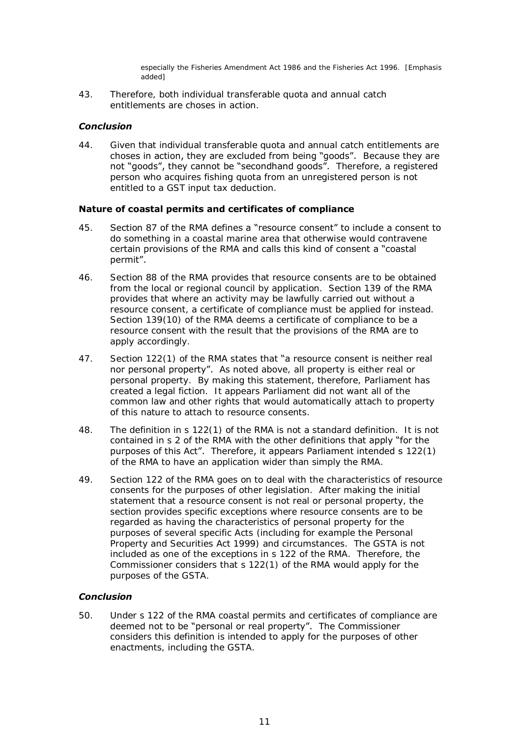especially the Fisheries Amendment Act 1986 and the Fisheries Act 1996. [Emphasis added]

43. Therefore, both individual transferable quota and annual catch entitlements are choses in action.

### <span id="page-10-0"></span>*Conclusion*

44. Given that individual transferable quota and annual catch entitlements are choses in action, they are excluded from being "goods". Because they are not "goods", they cannot be "secondhand goods". Therefore, a registered person who acquires fishing quota from an unregistered person is not entitled to a GST input tax deduction.

#### <span id="page-10-1"></span>**Nature of coastal permits and certificates of compliance**

- 45. Section 87 of the RMA defines a "resource consent" to include a consent to do something in a coastal marine area that otherwise would contravene certain provisions of the RMA and calls this kind of consent a "coastal permit".
- 46. Section 88 of the RMA provides that resource consents are to be obtained from the local or regional council by application. Section 139 of the RMA provides that where an activity may be lawfully carried out without a resource consent, a certificate of compliance must be applied for instead. Section 139(10) of the RMA deems a certificate of compliance to be a resource consent with the result that the provisions of the RMA are to apply accordingly.
- 47. Section 122(1) of the RMA states that "a resource consent is neither real nor personal property". As noted above, all property is either real or personal property. By making this statement, therefore, Parliament has created a legal fiction. It appears Parliament did not want all of the common law and other rights that would automatically attach to property of this nature to attach to resource consents.
- 48. The definition in s 122(1) of the RMA is not a standard definition. It is not contained in s 2 of the RMA with the other definitions that apply "for the purposes of this Act". Therefore, it appears Parliament intended s 122(1) of the RMA to have an application wider than simply the RMA.
- 49. Section 122 of the RMA goes on to deal with the characteristics of resource consents for the purposes of other legislation. After making the initial statement that a resource consent is not real or personal property, the section provides specific exceptions where resource consents are to be regarded as having the characteristics of personal property for the purposes of several specific Acts (including for example the Personal Property and Securities Act 1999) and circumstances. The GSTA is not included as one of the exceptions in s 122 of the RMA. Therefore, the Commissioner considers that s 122(1) of the RMA would apply for the purposes of the GSTA.

### <span id="page-10-2"></span>*Conclusion*

50. Under s 122 of the RMA coastal permits and certificates of compliance are deemed not to be "personal or real property". The Commissioner considers this definition is intended to apply for the purposes of other enactments, including the GSTA.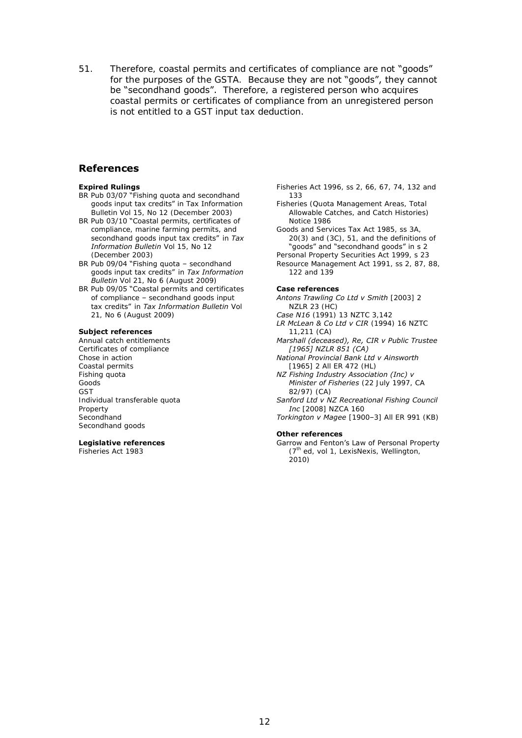51. Therefore, coastal permits and certificates of compliance are not "goods" for the purposes of the GSTA. Because they are not "goods", they cannot be "secondhand goods". Therefore, a registered person who acquires coastal permits or certificates of compliance from an unregistered person is not entitled to a GST input tax deduction.

### <span id="page-11-0"></span>**References**

#### **Expired Rulings**

- BR Pub 03/07 "Fishing quota and secondhand goods input tax credits" in Tax Information Bulletin Vol 15, No 12 (December 2003)
- BR Pub 03/10 "Coastal permits, certificates of compliance, marine farming permits, and secondhand goods input tax credits" in *Tax Information Bulletin* Vol 15, No 12 (December 2003)
- BR Pub 09/04 "Fishing quota secondhand goods input tax credits" in *Tax Information Bulletin* Vol 21, No 6 (August 2009)
- BR Pub 09/05 "Coastal permits and certificates of compliance – secondhand goods input tax credits" in *Tax Information Bulletin* Vol 21, No 6 (August 2009)

#### **Subject references**

Annual catch entitlements Certificates of compliance Chose in action Coastal permits Fishing quota Goods GST Individual transferable quota Property **Secondhand** Secondhand goods

#### **Legislative references**

Fisheries Act 1983

Fisheries Act 1996, ss 2, 66, 67, 74, 132 and 133

- Fisheries (Quota Management Areas, Total Allowable Catches, and Catch Histories) Notice 1986
- Goods and Services Tax Act 1985, ss 3A, 20(3) and (3C), 51, and the definitions of "goods" and "secondhand goods" in s 2

Personal Property Securities Act 1999, s 23 Resource Management Act 1991, ss 2, 87, 88, 122 and 139

#### **Case references**

- *Antons Trawling Co Ltd v Smith* [2003] 2 NZLR 23 (HC)
- *Case N16* (1991) 13 NZTC 3,142
- *LR McLean & Co Ltd v CIR* (1994) 16 NZTC 11,211 (CA)
- *Marshall (deceased), Re, CIR v Public Trustee [1965] NZLR 851 (CA)*
- *National Provincial Bank Ltd v Ainsworth*  [1965] 2 All ER 472 (HL)
- *NZ Fishing Industry Association (Inc) v Minister of Fisheries* (22 July 1997, CA 82/97) (CA)

*Sanford Ltd v NZ Recreational Fishing Council Inc* [2008] NZCA 160

*Torkington v Magee* [1900–3] All ER 991 (KB)

#### **Other references**

Garrow and Fenton's Law of Personal Property  $(7<sup>th</sup>$  ed, vol 1, LexisNexis, Wellington, 2010)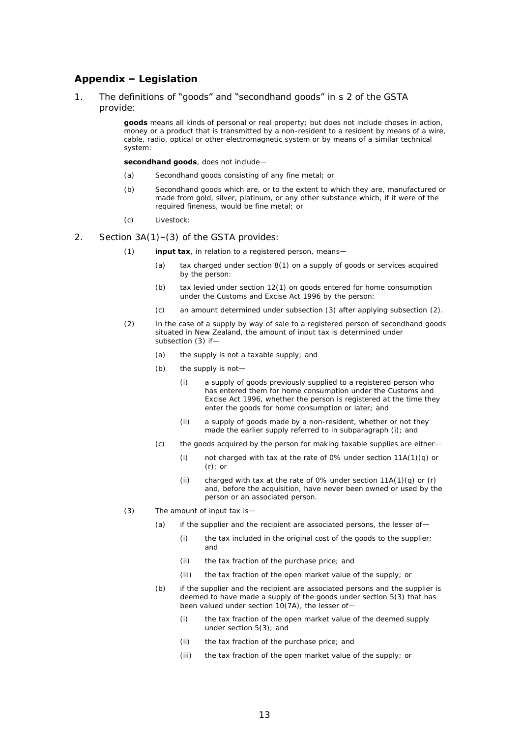## <span id="page-12-0"></span>**Appendix – Legislation**

1. The definitions of "goods" and "secondhand goods" in s 2 of the GSTA provide:

> **goods** means all kinds of personal or real property; but does not include choses in action, money or a product that is transmitted by a non-resident to a resident by means of a wire, cable, radio, optical or other electromagnetic system or by means of a similar technical system:

**secondhand goods**, does not include—

- (a) Secondhand goods consisting of any fine metal; or
- (b) Secondhand goods which are, or to the extent to which they are, manufactured or made from gold, silver, platinum, or any other substance which, if it were of the required fineness, would be fine metal; or
- (c) Livestock:
- 2. Section 3A(1)–(3) of the GSTA provides:
	- (1) **input tax**, in relation to a registered person, means—
		- (a) tax charged under section 8(1) on a supply of goods or services acquired by the person:
		- (b) tax levied under section 12(1) on goods entered for home consumption under the Customs and Excise Act 1996 by the person:
		- (c) an amount determined under subsection (3) after applying subsection (2).
	- (2) In the case of a supply by way of sale to a registered person of secondhand goods situated in New Zealand, the amount of input tax is determined under subsection (3) if—
		- (a) the supply is not a taxable supply; and
		- (b) the supply is not—
			- (i) a supply of goods previously supplied to a registered person who has entered them for home consumption under the Customs and Excise Act 1996, whether the person is registered at the time they enter the goods for home consumption or later; and
			- (ii) a supply of goods made by a non-resident, whether or not they made the earlier supply referred to in subparagraph (i); and
		- (c) the goods acquired by the person for making taxable supplies are either—
			- (i) not charged with tax at the rate of 0% under section 11A(1)(q) or (r); or
			- (ii) charged with tax at the rate of 0% under section  $11A(1)(q)$  or  $(r)$ and, before the acquisition, have never been owned or used by the person or an associated person.
	- (3) The amount of input tax is—
		- (a) if the supplier and the recipient are associated persons, the lesser of-
			- (i) the tax included in the original cost of the goods to the supplier; and
			- (ii) the tax fraction of the purchase price; and
			- (iii) the tax fraction of the open market value of the supply; or
		- (b) if the supplier and the recipient are associated persons and the supplier is deemed to have made a supply of the goods under section 5(3) that has been valued under section 10(7A), the lesser of—
			- (i) the tax fraction of the open market value of the deemed supply under section 5(3); and
			- (ii) the tax fraction of the purchase price; and
			- (iii) the tax fraction of the open market value of the supply; or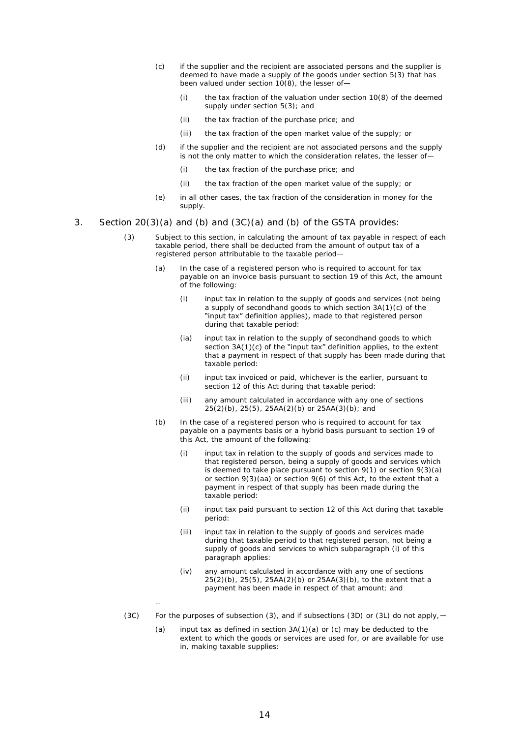- (c) if the supplier and the recipient are associated persons and the supplier is deemed to have made a supply of the goods under section 5(3) that has been valued under section  $10(8)$ , the lesser of-
	- (i) the tax fraction of the valuation under section 10(8) of the deemed supply under section 5(3); and
	- (ii) the tax fraction of the purchase price; and
	- (iii) the tax fraction of the open market value of the supply; or
- (d) if the supplier and the recipient are not associated persons and the supply is not the only matter to which the consideration relates, the lesser of-
	- (i) the tax fraction of the purchase price; and
	- (ii) the tax fraction of the open market value of the supply; or
- (e) in all other cases, the tax fraction of the consideration in money for the supply.
- 3. Section 20(3)(a) and (b) and (3C)(a) and (b) of the GSTA provides:
	- (3) Subject to this section, in calculating the amount of tax payable in respect of each taxable period, there shall be deducted from the amount of output tax of a registered person attributable to the taxable period—
		- (a) In the case of a registered person who is required to account for tax payable on an invoice basis pursuant to section 19 of this Act, the amount of the following:
			- (i) input tax in relation to the supply of goods and services (not being a supply of secondhand goods to which section 3A(1)(c) of the "input tax" definition applies), made to that registered person during that taxable period:
			- (ia) input tax in relation to the supply of secondhand goods to which section  $3A(1)(c)$  of the "input tax" definition applies, to the extent that a payment in respect of that supply has been made during that taxable period:
			- (ii) input tax invoiced or paid, whichever is the earlier, pursuant to section 12 of this Act during that taxable period:
			- (iii) any amount calculated in accordance with any one of sections 25(2)(b), 25(5), 25AA(2)(b) or 25AA(3)(b); and
		- (b) In the case of a registered person who is required to account for tax payable on a payments basis or a hybrid basis pursuant to section 19 of this Act, the amount of the following:
			- (i) input tax in relation to the supply of goods and services made to that registered person, being a supply of goods and services which is deemed to take place pursuant to section 9(1) or section 9(3)(a) or section 9(3)(aa) or section 9(6) of this Act, to the extent that a payment in respect of that supply has been made during the taxable period:
			- (ii) input tax paid pursuant to section 12 of this Act during that taxable period:
			- (iii) input tax in relation to the supply of goods and services made during that taxable period to that registered person, not being a supply of goods and services to which subparagraph (i) of this paragraph applies:
			- (iv) any amount calculated in accordance with any one of sections  $25(2)(b)$ ,  $25(5)$ ,  $25AA(2)(b)$  or  $25AA(3)(b)$ , to the extent that a payment has been made in respect of that amount; and
		- …
	- (3C) For the purposes of subsection (3), and if subsections (3D) or (3L) do not apply,—
		- (a) input tax as defined in section  $3A(1)(a)$  or (c) may be deducted to the extent to which the goods or services are used for, or are available for use in, making taxable supplies: